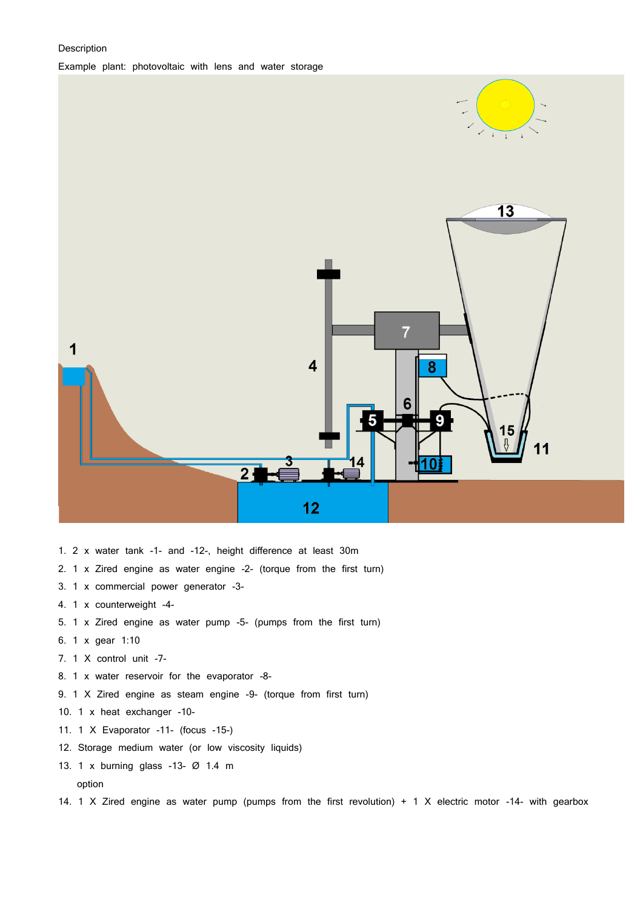# Description



- 1. 2 x water tank -1- and -12-, height difference at least 30m
- 2. 1 x Zired engine as water engine -2- (torque from the first turn)
- 3. 1 x commercial power generator -3-
- 4. 1 x counterweight -4-
- 5. 1 x Zired engine as water pump -5- (pumps from the first turn)
- 6. 1 x gear 1:10
- 7. 1 X control unit -7-
- 8. 1 x water reservoir for the evaporator -8-
- 9. 1 X Zired engine as steam engine -9- (torque from first turn)
- 10. 1 x heat exchanger -10-
- 11. 1 X Evaporator -11- (focus -15-)
- 12. Storage medium water (or low viscosity liquids)
- 13. 1 x burning glass -13- Ø 1.4 m option
- 14. 1 X Zired engine as water pump (pumps from the first revolution) + 1 X electric motor -14- with gearbox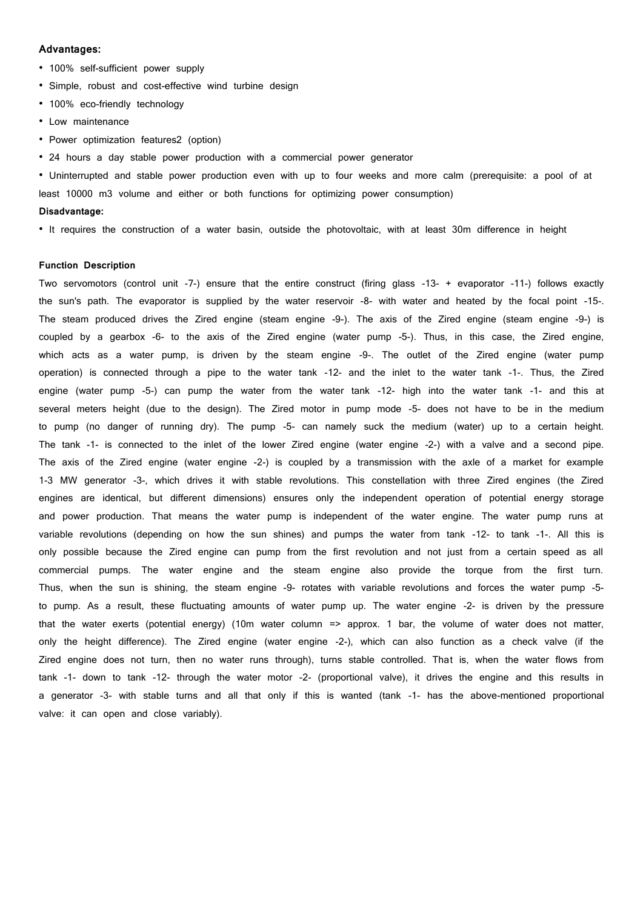### **Advantages:**

- 100% self-sufficient power supply
- Simple, robust and cost-effective wind turbine design
- 100% eco-friendly technology
- Low maintenance
- Power optimization features2 (option)
- 24 hours a day stable power production with a commercial power generator

• Uninterrupted and stable power production even with up to four weeks and more calm (prerequisite: a pool of at least 10000 m3 volume and either or both functions for optimizing power consumption)

# **Disadvantage:**

• It requires the construction of a water basin, outside the photovoltaic, with at least 30m difference in height

# **Function Description**

Two servomotors (control unit -7-) ensure that the entire construct (firing glass -13- + evaporator -11-) follows exactly the sun's path. The evaporator is supplied by the water reservoir -8- with water and heated by the focal point -15-. The steam produced drives the Zired engine (steam engine -9-). The axis of the Zired engine (steam engine -9-) is coupled by a gearbox -6- to the axis of the Zired engine (water pump -5-). Thus, in this case, the Zired engine, which acts as a water pump, is driven by the steam engine -9-. The outlet of the Zired engine (water pump operation) is connected through a pipe to the water tank -12- and the inlet to the water tank -1-. Thus, the Zired engine (water pump -5-) can pump the water from the water tank -12- high into the water tank -1- and this at several meters height (due to the design). The Zired motor in pump mode -5- does not have to be in the medium to pump (no danger of running dry). The pump -5- can namely suck the medium (water) up to a certain height. The tank -1- is connected to the inlet of the lower Zired engine (water engine -2-) with a valve and a second pipe. The axis of the Zired engine (water engine -2-) is coupled by a transmission with the axle of a market for example 1-3 MW generator -3-, which drives it with stable revolutions. This constellation with three Zired engines (the Zired engines are identical, but different dimensions) ensures only the independent operation of potential energy storage and power production. That means the water pump is independent of the water engine. The water pump runs at variable revolutions (depending on how the sun shines) and pumps the water from tank -12- to tank -1-. All this is only possible because the Zired engine can pump from the first revolution and not just from a certain speed as all commercial pumps. The water engine and the steam engine also provide the torque from the first turn. Thus, when the sun is shining, the steam engine -9- rotates with variable revolutions and forces the water pump -5 to pump. As a result, these fluctuating amounts of water pump up. The water engine -2- is driven by the pressure that the water exerts (potential energy) (10m water column => approx. 1 bar, the volume of water does not matter, only the height difference). The Zired engine (water engine -2-), which can also function as a check valve (if the Zired engine does not turn, then no water runs through), turns stable controlled. That is, when the water flows from tank -1- down to tank -12- through the water motor -2- (proportional valve), it drives the engine and this results in a generator -3- with stable turns and all that only if this is wanted (tank -1- has the above-mentioned proportional valve: it can open and close variably).